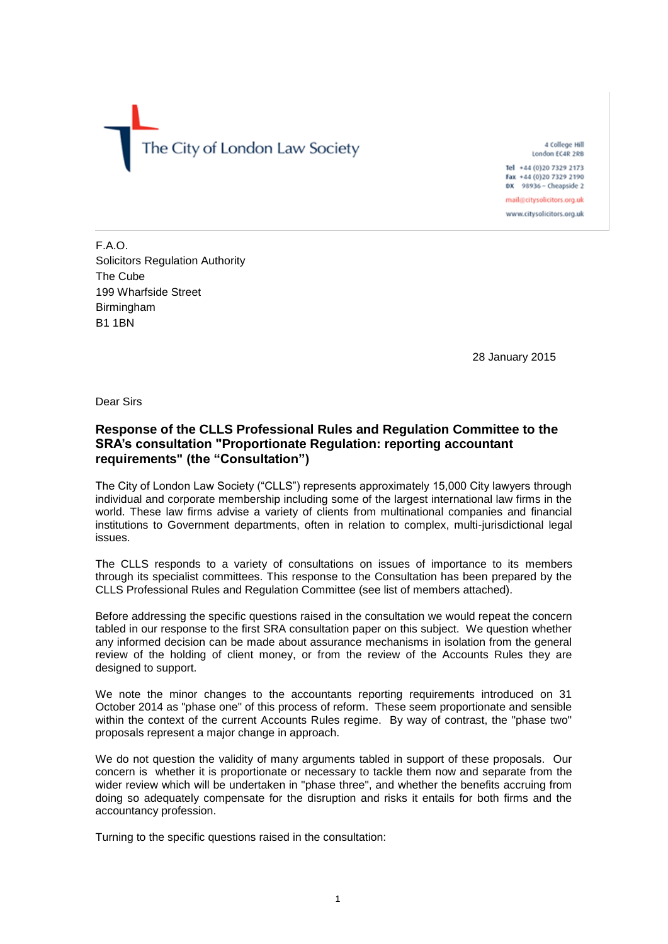The City of London Law Society

4 College Hill London EC4R 2RB Tel +44 (0)20 7329 2173 Fax +44 (0)20 7329 2190 DX 98936 - Cheapside 2 mail@citysolicitors.org.uk www.citysolicitors.org.uk

F.A.O. Solicitors Regulation Authority The Cube 199 Wharfside Street Birmingham B1 1BN

28 January 2015

Dear Sirs

# **Response of the CLLS Professional Rules and Regulation Committee to the SRA's consultation "Proportionate Regulation: reporting accountant requirements" (the "Consultation")**

The City of London Law Society ("CLLS") represents approximately 15,000 City lawyers through individual and corporate membership including some of the largest international law firms in the world. These law firms advise a variety of clients from multinational companies and financial institutions to Government departments, often in relation to complex, multi-jurisdictional legal issues.

The CLLS responds to a variety of consultations on issues of importance to its members through its specialist committees. This response to the Consultation has been prepared by the CLLS Professional Rules and Regulation Committee (see list of members attached).

Before addressing the specific questions raised in the consultation we would repeat the concern tabled in our response to the first SRA consultation paper on this subject. We question whether any informed decision can be made about assurance mechanisms in isolation from the general review of the holding of client money, or from the review of the Accounts Rules they are designed to support.

We note the minor changes to the accountants reporting requirements introduced on 31 October 2014 as "phase one" of this process of reform. These seem proportionate and sensible within the context of the current Accounts Rules regime. By way of contrast, the "phase two" proposals represent a major change in approach.

We do not question the validity of many arguments tabled in support of these proposals. Our concern is whether it is proportionate or necessary to tackle them now and separate from the wider review which will be undertaken in "phase three", and whether the benefits accruing from doing so adequately compensate for the disruption and risks it entails for both firms and the accountancy profession.

Turning to the specific questions raised in the consultation: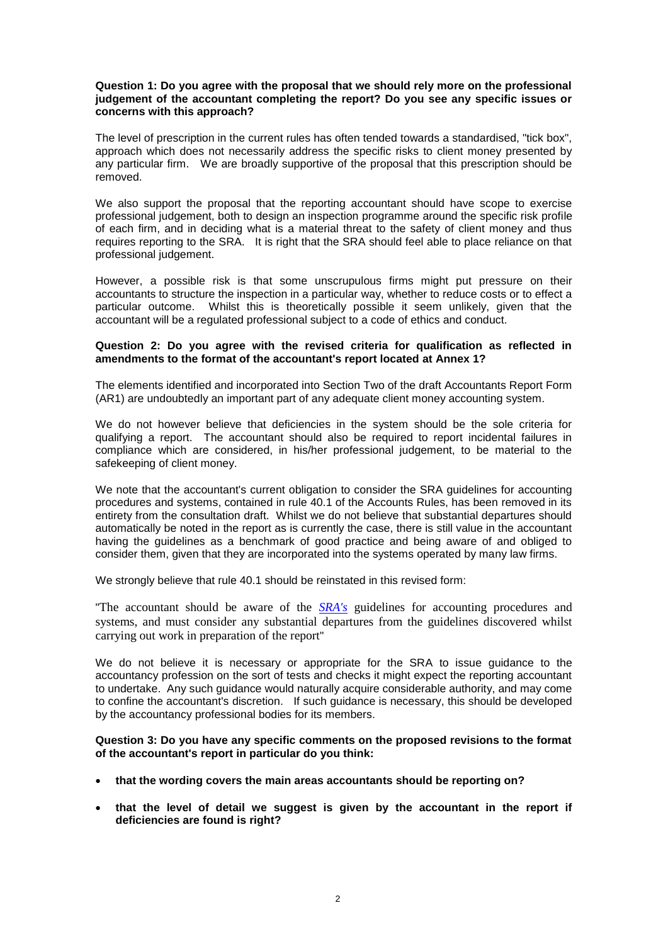#### **Question 1: Do you agree with the proposal that we should rely more on the professional judgement of the accountant completing the report? Do you see any specific issues or concerns with this approach?**

The level of prescription in the current rules has often tended towards a standardised, "tick box", approach which does not necessarily address the specific risks to client money presented by any particular firm. We are broadly supportive of the proposal that this prescription should be removed.

We also support the proposal that the reporting accountant should have scope to exercise professional judgement, both to design an inspection programme around the specific risk profile of each firm, and in deciding what is a material threat to the safety of client money and thus requires reporting to the SRA. It is right that the SRA should feel able to place reliance on that professional judgement.

However, a possible risk is that some unscrupulous firms might put pressure on their accountants to structure the inspection in a particular way, whether to reduce costs or to effect a particular outcome. Whilst this is theoretically possible it seem unlikely, given that the accountant will be a regulated professional subject to a code of ethics and conduct.

## **Question 2: Do you agree with the revised criteria for qualification as reflected in amendments to the format of the accountant's report located at Annex 1?**

The elements identified and incorporated into Section Two of the draft Accountants Report Form (AR1) are undoubtedly an important part of any adequate client money accounting system.

We do not however believe that deficiencies in the system should be the sole criteria for qualifying a report. The accountant should also be required to report incidental failures in compliance which are considered, in his/her professional judgement, to be material to the safekeeping of client money.

We note that the accountant's current obligation to consider the SRA guidelines for accounting procedures and systems, contained in rule 40.1 of the Accounts Rules, has been removed in its entirety from the consultation draft. Whilst we do not believe that substantial departures should automatically be noted in the report as is currently the case, there is still value in the accountant having the guidelines as a benchmark of good practice and being aware of and obliged to consider them, given that they are incorporated into the systems operated by many law firms.

We strongly believe that rule 40.1 should be reinstated in this revised form:

"The accountant should be aware of the *[SRA's](javascript:handleLink()* guidelines for accounting procedures and systems, and must consider any substantial departures from the guidelines discovered whilst carrying out work in preparation of the report"

We do not believe it is necessary or appropriate for the SRA to issue guidance to the accountancy profession on the sort of tests and checks it might expect the reporting accountant to undertake. Any such guidance would naturally acquire considerable authority, and may come to confine the accountant's discretion. If such guidance is necessary, this should be developed by the accountancy professional bodies for its members.

### **Question 3: Do you have any specific comments on the proposed revisions to the format of the accountant's report in particular do you think:**

- **that the wording covers the main areas accountants should be reporting on?**
- **that the level of detail we suggest is given by the accountant in the report if deficiencies are found is right?**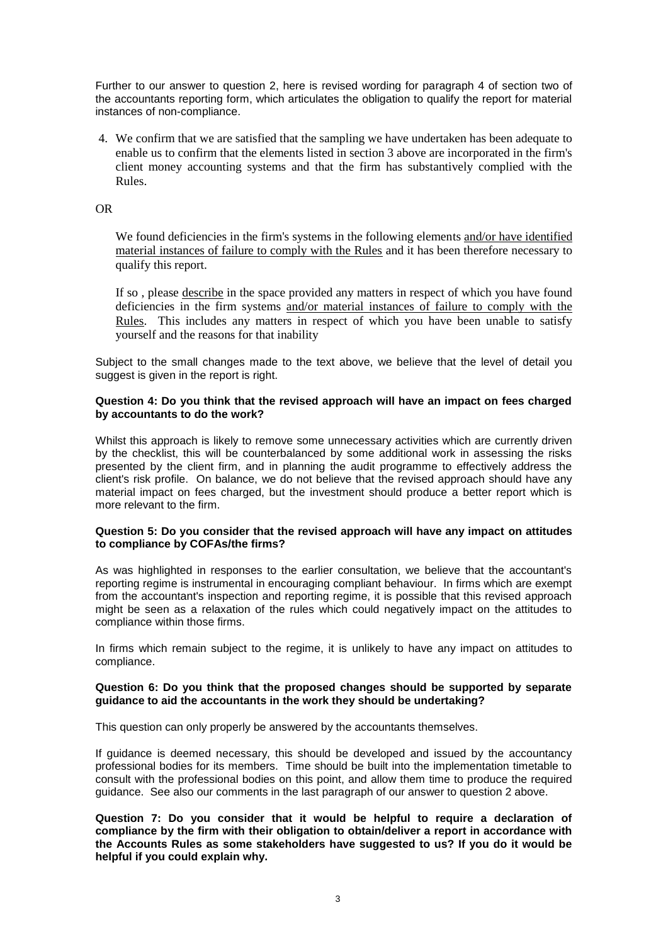Further to our answer to question 2, here is revised wording for paragraph 4 of section two of the accountants reporting form, which articulates the obligation to qualify the report for material instances of non-compliance.

4. We confirm that we are satisfied that the sampling we have undertaken has been adequate to enable us to confirm that the elements listed in section 3 above are incorporated in the firm's client money accounting systems and that the firm has substantively complied with the Rules.

OR

We found deficiencies in the firm's systems in the following elements and/or have identified material instances of failure to comply with the Rules and it has been therefore necessary to qualify this report.

If so , please describe in the space provided any matters in respect of which you have found deficiencies in the firm systems and/or material instances of failure to comply with the Rules. This includes any matters in respect of which you have been unable to satisfy yourself and the reasons for that inability

Subject to the small changes made to the text above, we believe that the level of detail you suggest is given in the report is right.

## **Question 4: Do you think that the revised approach will have an impact on fees charged by accountants to do the work?**

Whilst this approach is likely to remove some unnecessary activities which are currently driven by the checklist, this will be counterbalanced by some additional work in assessing the risks presented by the client firm, and in planning the audit programme to effectively address the client's risk profile. On balance, we do not believe that the revised approach should have any material impact on fees charged, but the investment should produce a better report which is more relevant to the firm.

## **Question 5: Do you consider that the revised approach will have any impact on attitudes to compliance by COFAs/the firms?**

As was highlighted in responses to the earlier consultation, we believe that the accountant's reporting regime is instrumental in encouraging compliant behaviour. In firms which are exempt from the accountant's inspection and reporting regime, it is possible that this revised approach might be seen as a relaxation of the rules which could negatively impact on the attitudes to compliance within those firms.

In firms which remain subject to the regime, it is unlikely to have any impact on attitudes to compliance.

### **Question 6: Do you think that the proposed changes should be supported by separate guidance to aid the accountants in the work they should be undertaking?**

This question can only properly be answered by the accountants themselves.

If guidance is deemed necessary, this should be developed and issued by the accountancy professional bodies for its members. Time should be built into the implementation timetable to consult with the professional bodies on this point, and allow them time to produce the required guidance. See also our comments in the last paragraph of our answer to question 2 above.

**Question 7: Do you consider that it would be helpful to require a declaration of compliance by the firm with their obligation to obtain/deliver a report in accordance with the Accounts Rules as some stakeholders have suggested to us? If you do it would be helpful if you could explain why.**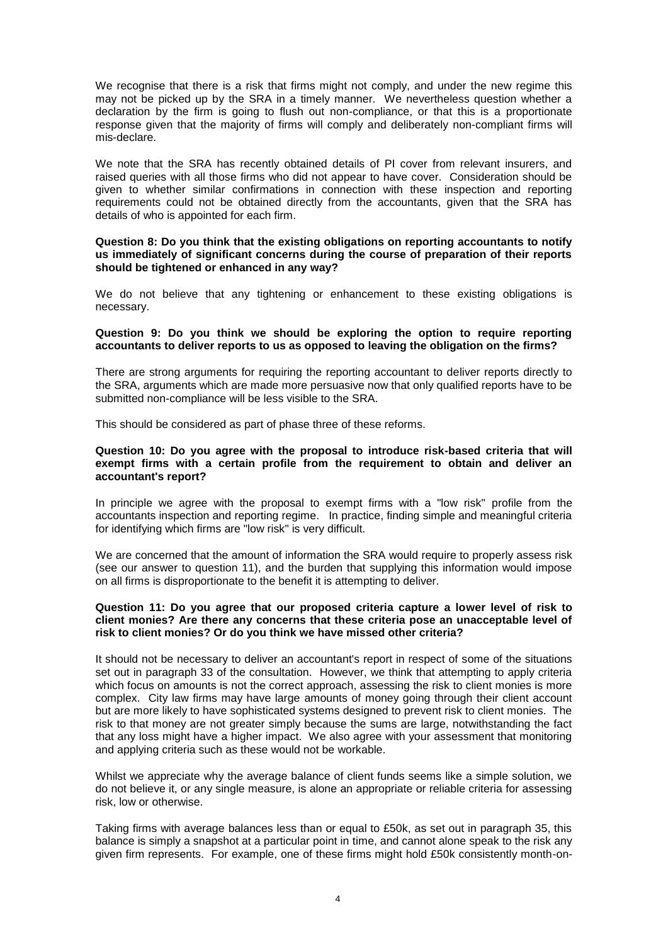We recognise that there is a risk that firms might not comply, and under the new regime this may not be picked up by the SRA in a timely manner. We nevertheless question whether a declaration by the firm is going to flush out non-compliance, or that this is a proportionate response given that the majority of firms will comply and deliberately non-compliant firms will mis-declare.

We note that the SRA has recently obtained details of PI cover from relevant insurers, and raised queries with all those firms who did not appear to have cover. Consideration should be given to whether similar confirmations in connection with these inspection and reporting requirements could not be obtained directly from the accountants, given that the SRA has details of who is appointed for each firm.

#### **Question 8: Do you think that the existing obligations on reporting accountants to notify us immediately of significant concerns during the course of preparation of their reports should be tightened or enhanced in any way?**

We do not believe that any tightening or enhancement to these existing obligations is necessary.

#### **Question 9: Do you think we should be exploring the option to require reporting accountants to deliver reports to us as opposed to leaving the obligation on the firms?**

There are strong arguments for requiring the reporting accountant to deliver reports directly to the SRA, arguments which are made more persuasive now that only qualified reports have to be submitted non-compliance will be less visible to the SRA.

This should be considered as part of phase three of these reforms.

## **Question 10: Do you agree with the proposal to introduce risk-based criteria that will exempt firms with a certain profile from the requirement to obtain and deliver an accountant's report?**

In principle we agree with the proposal to exempt firms with a "low risk" profile from the accountants inspection and reporting regime. In practice, finding simple and meaningful criteria for identifying which firms are "low risk" is very difficult.

We are concerned that the amount of information the SRA would require to properly assess risk (see our answer to question 11), and the burden that supplying this information would impose on all firms is disproportionate to the benefit it is attempting to deliver.

### **Question 11: Do you agree that our proposed criteria capture a lower level of risk to client monies? Are there any concerns that these criteria pose an unacceptable level of risk to client monies? Or do you think we have missed other criteria?**

It should not be necessary to deliver an accountant's report in respect of some of the situations set out in paragraph 33 of the consultation. However, we think that attempting to apply criteria which focus on amounts is not the correct approach, assessing the risk to client monies is more complex. City law firms may have large amounts of money going through their client account but are more likely to have sophisticated systems designed to prevent risk to client monies. The risk to that money are not greater simply because the sums are large, notwithstanding the fact that any loss might have a higher impact. We also agree with your assessment that monitoring and applying criteria such as these would not be workable.

Whilst we appreciate why the average balance of client funds seems like a simple solution, we do not believe it, or any single measure, is alone an appropriate or reliable criteria for assessing risk, low or otherwise.

Taking firms with average balances less than or equal to £50k, as set out in paragraph 35, this balance is simply a snapshot at a particular point in time, and cannot alone speak to the risk any given firm represents. For example, one of these firms might hold £50k consistently month-on